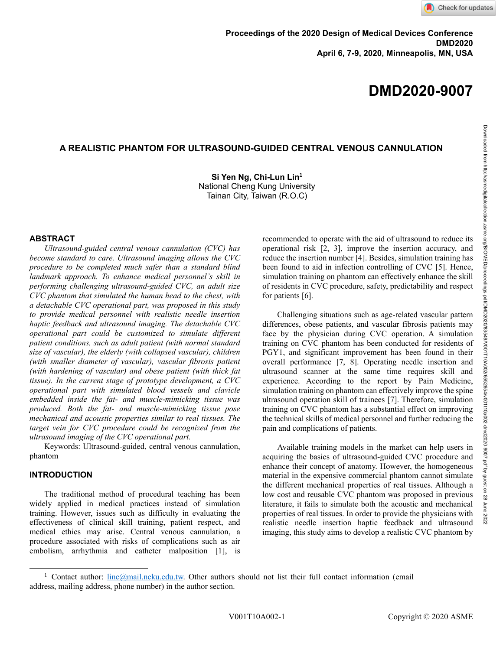**DMD2020-9007**

# **A REALISTIC PHANTOM FOR ULTRASOUND-GUIDED CENTRAL VENOUS CANNULATION**

**Si Yen Ng, Chi-Lun Lin<sup>1</sup>** National Cheng Kung University Tainan City, Taiwan (R.O.C)

#### **ABSTRACT**

*Ultrasound-guided central venous cannulation (CVC) has become standard to care. Ultrasound imaging allows the CVC procedure to be completed much safer than a standard blind landmark approach. To enhance medical personnel's skill in performing challenging ultrasound-guided CVC, an adult size CVC phantom that simulated the human head to the chest, with a detachable CVC operational part, was proposed in this study to provide medical personnel with realistic needle insertion haptic feedback and ultrasound imaging. The detachable CVC operational part could be customized to simulate different patient conditions, such as adult patient (with normal standard size of vascular), the elderly (with collapsed vascular), children (with smaller diameter of vascular), vascular fibrosis patient (with hardening of vascular) and obese patient (with thick fat tissue). In the current stage of prototype development, a CVC operational part with simulated blood vessels and clavicle embedded inside the fat- and muscle-mimicking tissue was produced. Both the fat- and muscle-mimicking tissue pose mechanical and acoustic properties similar to real tissues. The target vein for CVC procedure could be recognized from the ultrasound imaging of the CVC operational part.*

Keywords: Ultrasound-guided, central venous cannulation, phantom

### **INTRODUCTION**

The traditional method of procedural teaching has been widely applied in medical practices instead of simulation training. However, issues such as difficulty in evaluating the effectiveness of clinical skill training, patient respect, and medical ethics may arise. Central venous cannulation, a procedure associated with risks of complications such as air embolism, arrhythmia and catheter malposition [1], is recommended to operate with the aid of ultrasound to reduce its operational risk [2, 3], improve the insertion accuracy, and reduce the insertion number [4]. Besides, simulation training has been found to aid in infection controlling of CVC [5]. Hence, simulation training on phantom can effectively enhance the skill of residents in CVC procedure, safety, predictability and respect for patients [6].

Challenging situations such as age-related vascular pattern differences, obese patients, and vascular fibrosis patients may face by the physician during CVC operation. A simulation training on CVC phantom has been conducted for residents of PGY1, and significant improvement has been found in their overall performance [7, 8]. Operating needle insertion and ultrasound scanner at the same time requires skill and experience. According to the report by Pain Medicine, simulation training on phantom can effectively improve the spine ultrasound operation skill of trainees [7]. Therefore, simulation training on CVC phantom has a substantial effect on improving the technical skills of medical personnel and further reducing the pain and complications of patients.

Available training models in the market can help users in acquiring the basics of ultrasound-guided CVC procedure and enhance their concept of anatomy. However, the homogeneous material in the expensive commercial phantom cannot simulate the different mechanical properties of real tissues. Although a low cost and reusable CVC phantom was proposed in previous literature, it fails to simulate both the acoustic and mechanical properties of real tissues. In order to provide the physicians with realistic needle insertion haptic feedback and ultrasound imaging, this study aims to develop a realistic CVC phantom by

<sup>&</sup>lt;sup>1</sup> Contact author: <u>linc@mail.ncku.edu.tw</u>. Other authors should not list their full contact information (email address, mailing address, phone number) in the author section.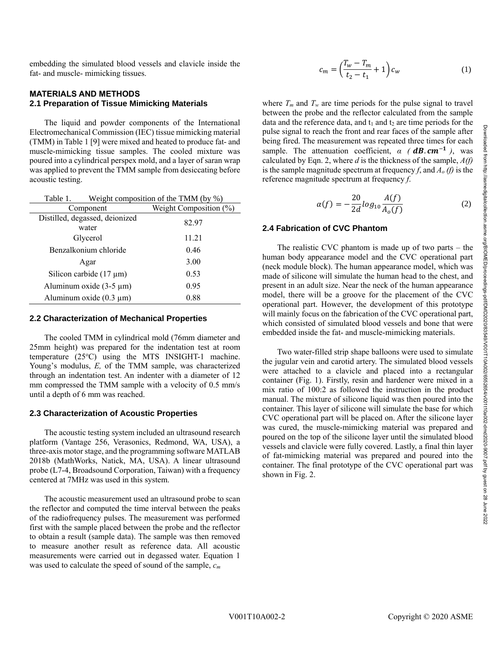embedding the simulated blood vessels and clavicle inside the fat- and muscle- mimicking tissues.

# **MATERIALS AND METHODS 2.1 Preparation of Tissue Mimicking Materials**

The liquid and powder components of the International Electromechanical Commission (IEC) tissue mimicking material (TMM) in Table 1 [9] were mixed and heated to produce fat- and muscle-mimicking tissue samples. The cooled mixture was poured into a cylindrical perspex mold, and a layer of saran wrap was applied to prevent the TMM sample from desiccating before acoustic testing.

| Weight composition of the TMM (by %)<br>Table 1. |                        |  |
|--------------------------------------------------|------------------------|--|
| Component                                        | Weight Composition (%) |  |
| Distilled, degassed, deionized<br>water          | 82.97                  |  |
| Glycerol                                         | 11.21                  |  |
| Benzalkonium chloride                            | 0.46                   |  |
| Agar                                             | 3.00                   |  |
| Silicon carbide $(17 \mu m)$                     | 0.53                   |  |
| Aluminum oxide $(3-5 \mu m)$                     | 0.95                   |  |
| Aluminum oxide $(0.3 \mu m)$                     | 0.88                   |  |

#### **2.2 Characterization of Mechanical Properties**

The cooled TMM in cylindrical mold (76mm diameter and 25mm height) was prepared for the indentation test at room temperature  $(25^{\circ}C)$  using the MTS INSIGHT-1 machine. Young's modulus, *E,* of the TMM sample, was characterized through an indentation test. An indenter with a diameter of 12 mm compressed the TMM sample with a velocity of 0.5 mm/s until a depth of 6 mm was reached.

#### **2.3 Characterization of Acoustic Properties**

The acoustic testing system included an ultrasound research platform (Vantage 256, Verasonics, Redmond, WA, USA), a three-axis motor stage, and the programming software MATLAB 2018b (MathWorks, Natick, MA, USA). A linear ultrasound probe (L7-4, Broadsound Corporation, Taiwan) with a frequency centered at 7MHz was used in this system.

The acoustic measurement used an ultrasound probe to scan the reflector and computed the time interval between the peaks of the radiofrequency pulses. The measurement was performed first with the sample placed between the probe and the reflector to obtain a result (sample data). The sample was then removed to measure another result as reference data. All acoustic measurements were carried out in degassed water. Equation 1 was used to calculate the speed of sound of the sample, *c<sup>m</sup>*

$$
c_m = \left(\frac{T_w - T_m}{t_2 - t_1} + 1\right) c_w \tag{1}
$$

where  $T_m$  and  $T_w$  are time periods for the pulse signal to travel between the probe and the reflector calculated from the sample data and the reference data, and  $t_1$  and  $t_2$  are time periods for the pulse signal to reach the front and rear faces of the sample after being fired. The measurement was repeated three times for each sample. The attenuation coefficient,  $\alpha$  ( $dB.cm^{-1}$ ), was calculated by Eqn. 2, where *d* is the thickness of the sample, *A(f)* is the sample magnitude spectrum at frequency *f*, and *A<sup>o</sup> (f)* is the reference magnitude spectrum at frequency *f*.

$$
\alpha(f) = -\frac{20}{2d} \log_{10} \frac{A(f)}{A_o(f)}\tag{2}
$$

### **2.4 Fabrication of CVC Phantom**

The realistic CVC phantom is made up of two parts – the human body appearance model and the CVC operational part (neck module block). The human appearance model, which was made of silicone will simulate the human head to the chest, and present in an adult size. Near the neck of the human appearance model, there will be a groove for the placement of the CVC operational part. However, the development of this prototype will mainly focus on the fabrication of the CVC operational part, which consisted of simulated blood vessels and bone that were embedded inside the fat- and muscle-mimicking materials.

Two water-filled strip shape balloons were used to simulate the jugular vein and carotid artery. The simulated blood vessels were attached to a clavicle and placed into a rectangular container (Fig. 1). Firstly, resin and hardener were mixed in a mix ratio of 100:2 as followed the instruction in the product manual. The mixture of silicone liquid was then poured into the container. This layer of silicone will simulate the base for which CVC operational part will be placed on. After the silicone layer was cured, the muscle-mimicking material was prepared and poured on the top of the silicone layer until the simulated blood vessels and clavicle were fully covered. Lastly, a final thin layer of fat-mimicking material was prepared and poured into the container. The final prototype of the CVC operational part was shown in Fig. 2.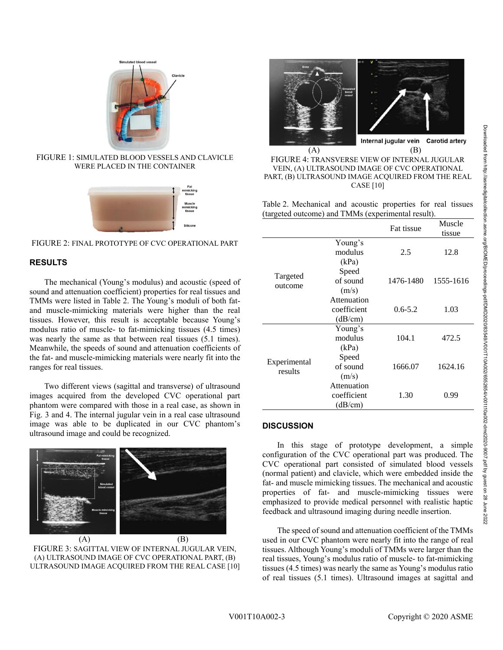

FIGURE 1: SIMULATED BLOOD VESSELS AND CLAVICLE WERE PLACED IN THE CONTAINER



FIGURE 2: FINAL PROTOTYPE OF CVC OPERATIONAL PART

## **RESULTS**

The mechanical (Young's modulus) and acoustic (speed of sound and attenuation coefficient) properties for real tissues and TMMs were listed in Table 2. The Young's moduli of both fatand muscle-mimicking materials were higher than the real tissues. However, this result is acceptable because Young's modulus ratio of muscle- to fat-mimicking tissues (4.5 times) was nearly the same as that between real tissues (5.1 times). Meanwhile, the speeds of sound and attenuation coefficients of the fat- and muscle-mimicking materials were nearly fit into the ranges for real tissues.

Two different views (sagittal and transverse) of ultrasound images acquired from the developed CVC operational part phantom were compared with those in a real case, as shown in Fig. 3 and 4. The internal jugular vein in a real case ultrasound image was able to be duplicated in our CVC phantom's ultrasound image and could be recognized.



FIGURE 3: SAGITTAL VIEW OF INTERNAL JUGULAR VEIN, (A) ULTRASOUND IMAGE OF CVC OPERATIONAL PART, (B) ULTRASOUND IMAGE ACQUIRED FROM THE REAL CASE [10]



FIGURE 4: TRANSVERSE VIEW OF INTERNAL JUGULAR VEIN, (A) ULTRASOUND IMAGE OF CVC OPERATIONAL PART, (B) ULTRASOUND IMAGE ACQUIRED FROM THE REAL CASE [10]

Table 2. Mechanical and acoustic properties for real tissues (targeted outcome) and TMMs (experimental result).

|                         |                                       | Fat tissue  | Muscle<br>tissue |
|-------------------------|---------------------------------------|-------------|------------------|
| Targeted<br>outcome     | Young's<br>modulus<br>(kPa)           | 2.5         | 12.8             |
|                         | Speed<br>of sound<br>(m/s)            | 1476-1480   | 1555-1616        |
|                         | Attenuation<br>coefficient<br>(dB/cm) | $0.6 - 5.2$ | 1.03             |
| Experimental<br>results | Young's<br>modulus<br>(kPa)           | 104.1       | 472.5            |
|                         | Speed<br>of sound<br>(m/s)            | 1666.07     | 1624.16          |
|                         | Attenuation<br>coefficient<br>(dB/cm) | 1.30        | 0.99             |

## **DISCUSSION**

In this stage of prototype development, a simple configuration of the CVC operational part was produced. The CVC operational part consisted of simulated blood vessels (normal patient) and clavicle, which were embedded inside the fat- and muscle mimicking tissues. The mechanical and acoustic properties of fat- and muscle-mimicking tissues were emphasized to provide medical personnel with realistic haptic feedback and ultrasound imaging during needle insertion.

The speed of sound and attenuation coefficient of the TMMs used in our CVC phantom were nearly fit into the range of real tissues. Although Young's moduli of TMMs were larger than the real tissues, Young's modulus ratio of muscle- to fat-mimicking tissues (4.5 times) was nearly the same as Young's modulus ratio of real tissues (5.1 times). Ultrasound images at sagittal and